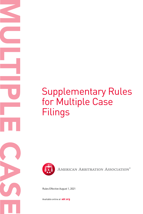# Supplementary Rules for Multiple Case Filings



AMERICAN ARBITRATION ASSOCIATION®

Rules Effective August 1, 2021

Available online at **adr.org**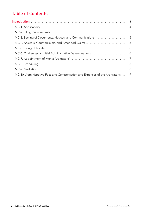## Table of Contents

| MC-10. Administrative Fees and Compensation and Expenses of the Arbitrator(s) 9 |  |
|---------------------------------------------------------------------------------|--|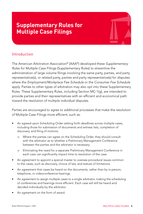## <span id="page-2-0"></span>**Supplementary Rules for Multiple Case Filings**



### Introduction

The American Arbitration Association® (AAA®) developed these *Supplementary Rules for Multiple Case Filings* (Supplementary Rules) to streamline the administration of large volume filings involving the same party, parties, and party representative(s), or related party, parties and party representative(s) for disputes where the *Employment/Workplace Fee Schedule* or the *Consumer Fee Schedule* apply. Parties to other types of arbitration may also opt into these Supplementary Rules. These Supplementary Rules, including Section MC-1(g), are intended to provide parties and their representatives with an efficient and economical path toward the resolution of multiple individual disputes.

Parties are encouraged to agree to additional processes that make the resolution of Multiple Case Filings more efficient, such as:

- An agreed-upon Scheduling Order setting forth deadlines across multiple cases, including those for submission of documents and witness lists, completion of discovery, and filing of motions.
	- o Where the parties can agree on the Scheduling Order, they should consult with the arbitrator as to whether a Preliminary Management Conference between the parties and the arbitrator is necessary.
	- o Eliminating the need for a separate Preliminary Management Conference in each case can significantly impact time to resolution of the case.
- An agreement to appoint a special master to oversee procedural issues common to the cases, such as discovery, choice of law, and statute of limitations.
- An agreement that cases be heard on the documents, rather than by in-person, telephone, or videoconference hearings.
- An agreement to assign multiple cases to a single arbitrator, making the scheduling of conferences and hearings more efficient. Each case will still be heard and decided individually by the arbitrator.
- An agreement on the form of award.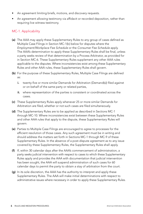- <span id="page-3-0"></span>An agreement limiting briefs, motions, and discovery requests.
- An agreement allowing testimony via affidavit or recorded deposition, rather than requiring live witness testimony.

#### MC-1. Applicability

- (a) The AAA may apply these Supplementary Rules to any group of cases defined as Multiple Case Filings in Section MC-1(b) below for disputes where the *Employment/Workplace Fee Schedule* or the *Consumer Fee Schedule* apply. The AAA's determination to apply these Supplementary Rules shall be final, unless a party seeks review of that determination by a Process Arbitrator, as provided for in Section MC-6. These Supplementary Rules supplement any other AAA rules applicable to the disputes. Where inconsistencies exist among these Supplementary Rules and other AAA rules, these Supplementary Rules shall govern.
- (b) For the purpose of these Supplementary Rules, Multiple Case Filings are defined as:
	- i. twenty-five or more similar Demands for Arbitration (Demand(s)) filed against or on behalf of the same party or related parties,
	- ii. where representation of the parties is consistent or coordinated across the cases.
- (c) These Supplementary Rules apply whenever 25 or more similar Demands for Arbitration are filed, whether or not such cases are filed simultaneously.
- (d) The Supplementary Rules are to be applied as described in Sections MC-1 through MC-10. Where inconsistencies exist between these Supplementary Rules and other AAA rules that apply to the dispute, these Supplementary Rules will govern.
- (e) Parties to Multiple Case Filings are encouraged to agree to processes for the efficient resolution of those cases. Any such agreement must be in writing and should address the matters set forth in Sections MC-1 through MC-9 of these Supplementary Rules. In the absence of a post-dispute agreement as to any issue covered by these Supplementary Rules, the Supplementary Rules shall apply.
- (f) If, within 30 calendar days after the AAA's commencement of administration, a party seeks judicial intervention with respect to cases to which these Supplementary Rules apply and provides the AAA with documentation that judicial intervention has been sought, the AAA will suspend administration of such cases for 60 calendar days to permit the party to obtain a stay of arbitration from the court.
- (g) In its sole discretion, the AAA has the authority to interpret and apply these Supplementary Rules. The AAA will make initial determinations with respect to administrative issues where necessary in order to apply these Supplementary Rules.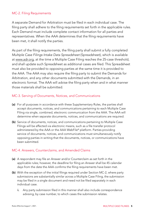#### <span id="page-4-0"></span>MC-2. Filing Requirements

A separate Demand for Arbitration must be filed in each individual case. The filing party shall adhere to the filing requirements set forth in the applicable rules. Each Demand must include complete contact information for all parties and representatives. When the AAA determines that the filing requirements have been met, it shall notify the parties.

As part of the filing requirements, the filing party shall submit a fully completed *Multiple Case Filings Intake Data Spreadsheet* (Spreadsheet), which is available at [www.adr.org,](http://www.adr.org) at the time a Multiple Case Filing reaches the 25-case threshold, and shall update such Spreadsheet as additional cases are filed. This Spreadsheet must also be provided to opposing parties at the same time it is provided to the AAA. The AAA may also require the filing party to submit the Demands for Arbitration, and any other documents submitted with the Demands, in an electronic format. The AAA will advise the filing party when and in what manner those materials shall be submitted.

#### MC-3. Serving of Documents, Notices, and Communications

- (a) For all purposes in accordance with these Supplementary Rules, the parties shall accept documents, notices, and communications pertaining to each Multiple Case Filing via single, combined, electronic communication from the AAA. The AAA will determine when separate documents, notices, and communications are required.
- (b) Service of documents, notices, and communications pertaining to Multiple Case Filings will be effected via electronic means, such as a file transfer protocol administered by the AAA or the AAA WebFile® platform. Parties providing service of documents, notices, and communications must simultaneously notify opposing parties in writing that the documents, notices, or communications have been submitted.

#### MC-4. Answers, Counterclaims, and Amended Claims

- (a) A respondent may file an Answer and/or Counterclaim as set forth in the applicable rules; however, the deadline for filing an Answer shall be 45 calendar days from the date the AAA confirms the filing requirements have been met.
- (b) With the exception of the initial filings required under Section MC-2, where party submissions are substantially similar across a Multiple Case Filing, the submission may be filed in a single document and need not be filed separately in each individual case.
	- i. Any party submission filed in this manner shall also include correspondence advising, by case number, to which cases the submission relates.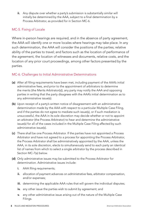<span id="page-5-0"></span>ii. Any dispute over whether a party's submission is substantially similar will initially be determined by the AAA, subject to a final determination by a Process Arbitrator, as provided for in Section MC-6.

#### MC-5. Fixing of Locale

Where in-person hearings are required, and in the absence of party agreement, the AAA will identify one or more locales where hearings may take place. In any such determination, the AAA will consider the positions of the parties; relative ability of the parties to travel; and factors such as the location of performance of the agreement, the location of witnesses and documents, relative costs, and the location of any prior court proceedings, among other factors presented by the parties.

#### MC-6. Challenges to Initial Administrative Determinations

- (a) After all filing requirements have been met, including payment of the AAA's initial administrative fees, and prior to the appointment of arbitrators to determine the merits (the Merits Arbitrator(s)), any party may notify the AAA and opposing parties in writing that the party disagrees with the AAA's initial determination as to any administrative issue(s).
- (b) Upon receipt of a party's written notice of disagreement with an administrative determination made by the AAA with respect to a particular Multiple Case Filing, and if the parties do not agree to mediate such issue(s), or if such mediation is unsuccessful, the AAA in its sole discretion may decide whether or not to appoint an arbitrator (the Process Arbitrator) to hear and determine the administrative issue(s) for all of the cases included in the Multiple Case Filing affected by such administrative issue(s).
- (c) There shall be one Process Arbitrator. If the parties have not appointed a Process Arbitrator and have not agreed to a process for appointing the Process Arbitrator, the Process Arbitrator shall be administratively appointed by the AAA, unless the AAA, in its sole discretion, elects to simultaneously send to each party an identical list of names from which to select a single arbitrator by the process described in Section MC-7(a) below.
- (d) Only administrative issues may be submitted to the Process Arbitrator for determination. Administrative issues include:
	- **i.** AAA filing requirements;
	- ii. allocation of payment advances on administrative fees, arbitrator compensation, and/or expenses;
	- iii. determining the applicable AAA rules that will govern the individual disputes;
	- iv. any other issue the parties wish to submit by agreement; and
	- v. any other administrative issue arising out of the nature of the Multiple Case Filings.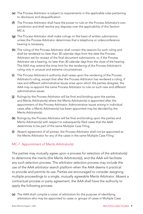- <span id="page-6-0"></span>(e) The Process Arbitrator is subject to requirements in the applicable rules pertaining to disclosure and disqualification.
- (f) The Process Arbitrator shall have the power to rule on the Process Arbitrator's own jurisdiction and shall resolve any disputes over the applicability of this Section MC-6.
- (g) The Process Arbitrator shall make rulings on the basis of written submissions unless the Process Arbitrator determines that a telephone or videoconference hearing is necessary.
- (h) The ruling of the Process Arbitrator shall contain the reasons for such ruling and shall be rendered no later than 30 calendar days from the date the Process Arbitrator set for receipt of the final document submissions, or, if the Process Arbitrator set a hearing, no later than 30 calendar days from the close of the hearing. The AAA may extend the time limit for the rendering of the Process Arbitrator's ruling only in unusual and extreme circumstances.
- (i) The Process Arbitrator's authority shall cease upon the rendering of the Process Arbitrator's ruling, except that after the Process Arbitrator has rendered a ruling, if new and different administrative issues arise upon which the parties disagree, the AAA may re-appoint the same Process Arbitrator to rule on such new and different administrative issues.
- (j) Rulings by the Process Arbitrator will be final and binding upon the parties and Merits Arbitrator(s) where the Merits Arbitrator(s) is appointed after the appointment of the Process Arbitrator. Administrative issues arising in individual cases after a Merits Arbitrator(s) has been appointed may be decided by the Merits Arbitrator(s).
- (k) Rulings by the Process Arbitrator will be final and binding upon the parties and Merits Arbitrator(s) with respect to subsequently filed cases that the AAA determines to be part of the same Multiple Case Filing.
- (l) Absent agreement of all parties, the Process Arbitrator shall not be appointed as the Merits Arbitrator for any of the cases in the same Multiple Case Filing.

#### MC-7. Appointment of Merits Arbitrator(s)

The parties may mutually agree upon a process for selection of the arbitrator(s) to determine the merits (the Merits Arbitrator(s)), and the AAA will facilitate any such selection process. The arbitrator selection process may include the use of the AAA arbitrator search platform when the AAA deems it practical to provide and permits its use. Parties are encouraged to consider assigning multiple proceedings to a single, mutually agreeable Merits Arbitrator. Absent a contractual process or party agreement, the AAA shall have the authority to apply the following process:

(a) The AAA shall compile a roster of arbitrators for the purpose of identifying arbitrators who may be appointed to cases or groups of cases in Multiple Case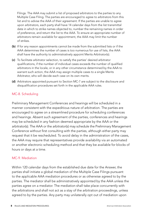<span id="page-7-0"></span>Filings. The AAA may submit a list of proposed arbitrators to the parties to any Multiple Case Filing. The parties are encouraged to agree to arbitrators from this list and to advise the AAA of their agreement. If the parties are unable to agree upon arbitrators, each party shall have 14 calendar days from the list transmittal date in which to strike names objected to, number the remaining names in order of preference, and return the list to the AAA. To ensure an appropriate number of arbitrators remain available for appointment, the AAA may limit the number of strikes.

- (b) If for any reason appointments cannot be made from the submitted lists or if the AAA determines the number of cases is too numerous for use of lists, the AAA shall have the authority to administratively appoint Merits Arbitrator(s).
- (c) To facilitate arbitrator selection, to satisfy the parties' desired arbitrator qualifications, if the number of individual cases exceeds the number of qualified arbitrators in the locale, or in any other circumstance determined by the AAA to warrant such action, the AAA may assign multiple cases to a single Merits Arbitrator, who will decide each case on its own merits.
- (d) Arbitrators appointed pursuant to Section MC-7 are subject to the disclosure and disqualification procedures set forth in the applicable AAA rules.

#### MC-8. Scheduling

Preliminary Management Conferences and hearings will be scheduled in a manner consistent with the expeditious nature of arbitration. The parties are encouraged to agree on a streamlined procedure for scheduling conferences and hearings. Absent such agreement of the parties, conferences and hearings may be scheduled in any fashion deemed appropriate by the AAA or the arbitrator(s). The AAA or the arbitrator(s) may schedule the Preliminary Management Conference without first consulting with the parties, although either party may request that it be rescheduled. To avoid delay in the administration of the cases, the AAA may require that representatives provide availability via an automated or another electronic scheduling method and that they be available for blocks of hours or days at a time.

#### MC-9. Mediation

Within 120 calendar days from the established due date for the Answer, the parties shall initiate a global mediation of the Multiple Case Filings pursuant to the applicable AAA mediation procedures or as otherwise agreed to by the parties. The mediator shall be administratively appointed by the AAA unless the parties agree on a mediator. The mediation shall take place concurrently with the arbitrations and shall not act as a stay of the arbitration proceedings, unless agreed to by the parties. Any party may unilaterally opt out of mediation upon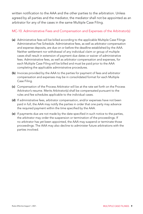<span id="page-8-0"></span>written notification to the AAA and the other parties to the arbitration. Unless agreed by all parties and the mediator, the mediator shall not be appointed as an arbitrator for any of the cases in the same Multiple Case Filing.

#### MC-10. Administrative Fees and Compensation and Expenses of the Arbitrator(s)

- (a) Administrative fees will be billed according to the applicable Multiple Case Filings Administrative Fee Schedule. Administrative fees, as well as arbitrator compensation and expense deposits, are due on or before the deadline established by the AAA. Neither settlement nor withdrawal of any individual claim or group of multiple cases shall result in extension of payment due dates or waiver of administrative fees. Administrative fees, as well as arbitrator compensation and expenses, for each Multiple Case Filing will be billed and must be paid prior to the AAA completing the applicable administrative procedures.
- (b) Invoices provided by the AAA to the parties for payment of fees and arbitrator compensation and expenses may be in consolidated format for each Multiple Case Filing.
- (c) Compensation of the Process Arbitrator will be at the rate set forth on the Process Arbitrator's resume. Merits Arbitrator(s) shall be compensated pursuant to the rules and fee schedules applicable to the individual cases.
- (d) If administrative fees, arbitrator compensation, and/or expenses have not been paid in full, the AAA may notify the parties in order that one party may advance the required payment within the time specified by the AAA.
- (e) If payments due are not made by the date specified in such notice to the parties, the arbitrator may order the suspension or termination of the proceedings. If no arbitrator has yet been appointed, the AAA may suspend or terminate those proceedings. The AAA may also decline to administer future arbitrations with the parties involved.